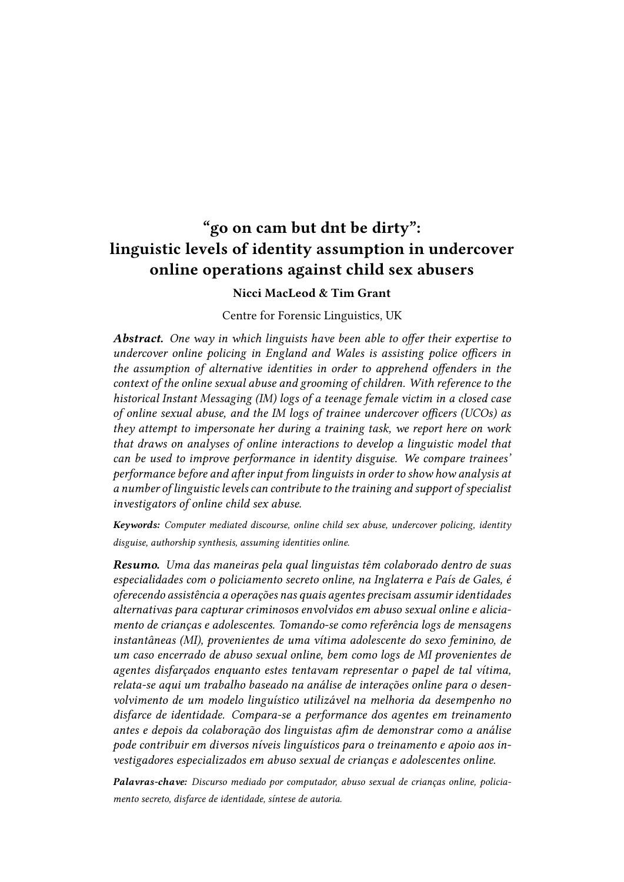# "go on cam but dnt be dirty": linguistic levels of identity assumption in undercover online operations against child sex abusers

### Nicci MacLeod & Tim Grant

#### Centre for Forensic Linguistics, UK

Abstract. One way in which linguists have been able to offer their expertise to undercover online policing in England and Wales is assisting police officers in the assumption of alternative identities in order to apprehend offenders in the context of the online sexual abuse and grooming of children. With reference to the historical Instant Messaging (IM) logs of a teenage female victim in a closed case of online sexual abuse, and the IM logs of trainee undercover officers (UCOs) as they attempt to impersonate her during a training task, we report here on work that draws on analyses of online interactions to develop a linguistic model that can be used to improve performance in identity disguise. We compare trainees' performance before and after input from linguists in order to show how analysis at a number of linguistic levels can contribute to the training and support of specialist investigators of online child sex abuse.

Keywords: Computer mediated discourse, online child sex abuse, undercover policing, identity disguise, authorship synthesis, assuming identities online.

Resumo. Uma das maneiras pela qual linguistas têm colaborado dentro de suas especialidades com o policiamento secreto online, na Inglaterra e País de Gales, é oferecendo assistência a operações nas quais agentes precisam assumir identidades alternativas para capturar criminosos envolvidos em abuso sexual online e aliciamento de crianças e adolescentes. Tomando-se como referência logs de mensagens instantâneas (MI), provenientes de uma vítima adolescente do sexo feminino, de um caso encerrado de abuso sexual online, bem como logs de MI provenientes de agentes disfarçados enquanto estes tentavam representar o papel de tal vítima, relata-se aqui um trabalho baseado na análise de interações online para o desenvolvimento de um modelo linguístico utilizável na melhoria da desempenho no disfarce de identidade. Compara-se a performance dos agentes em treinamento antes e depois da colaboração dos linguistas afim de demonstrar como a análise pode contribuir em diversos níveis linguísticos para o treinamento e apoio aos investigadores especializados em abuso sexual de crianças e adolescentes online.

Palavras-chave: Discurso mediado por computador, abuso sexual de crianças online, policiamento secreto, disfarce de identidade, síntese de autoria.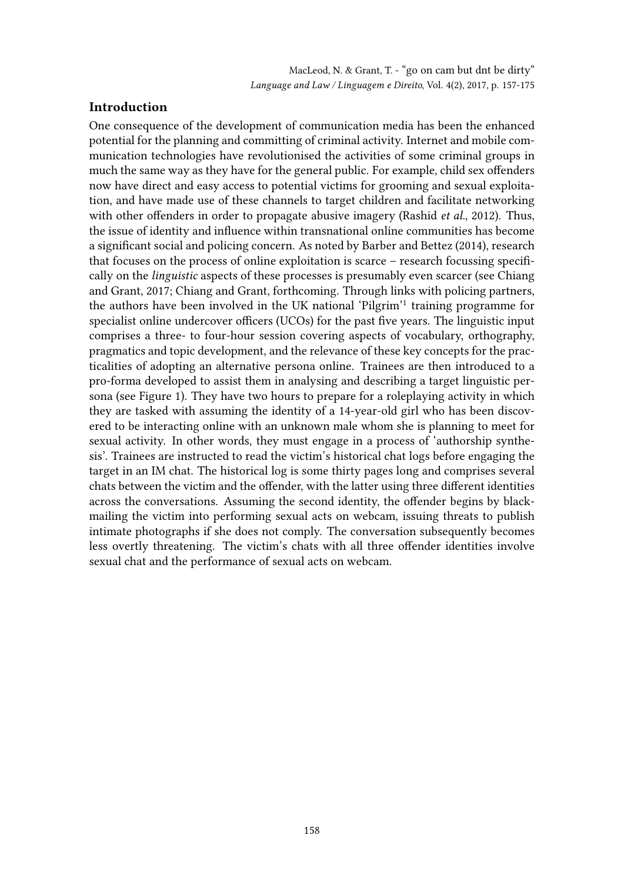# Introduction

One consequence of the development of communication media has been the enhanced potential for the planning and committing of criminal activity. Internet and mobile communication technologies have revolutionised the activities of some criminal groups in much the same way as they have for the general public. For example, child sex offenders now have direct and easy access to potential victims for grooming and sexual exploitation, and have made use of these channels to target children and facilitate networking with other offenders in order to propagate abusive imagery (Rashid *et al.*, 2012). Thus, the issue of identity and influence within transnational online communities has become a significant social and policing concern. As noted by Barber and Bettez (2014), research that focuses on the process of online exploitation is scarce  $-$  research focussing specifically on the linguistic aspects of these processes is presumably even scarcer (see Chiang and Grant, 2017; Chiang and Grant, forthcoming. Through links with policing partners, the authors have been involved in the UK national 'Pilgrim'<sup>1</sup> training programme for specialist online undercover officers (UCOs) for the past five years. The linguistic input comprises a three- to four-hour session covering aspects of vocabulary, orthography, pragmatics and topic development, and the relevance of these key concepts for the practicalities of adopting an alternative persona online. Trainees are then introduced to a pro-forma developed to assist them in analysing and describing a target linguistic persona (see Figure 1). They have two hours to prepare for a roleplaying activity in which they are tasked with assuming the identity of a 14-year-old girl who has been discovered to be interacting online with an unknown male whom she is planning to meet for sexual activity. In other words, they must engage in a process of 'authorship synthesis'. Trainees are instructed to read the victim's historical chat logs before engaging the target in an IM chat. The historical log is some thirty pages long and comprises several chats between the victim and the offender, with the latter using three different identities across the conversations. Assuming the second identity, the offender begins by blackmailing the victim into performing sexual acts on webcam, issuing threats to publish intimate photographs if she does not comply. The conversation subsequently becomes less overtly threatening. The victim's chats with all three offender identities involve sexual chat and the performance of sexual acts on webcam.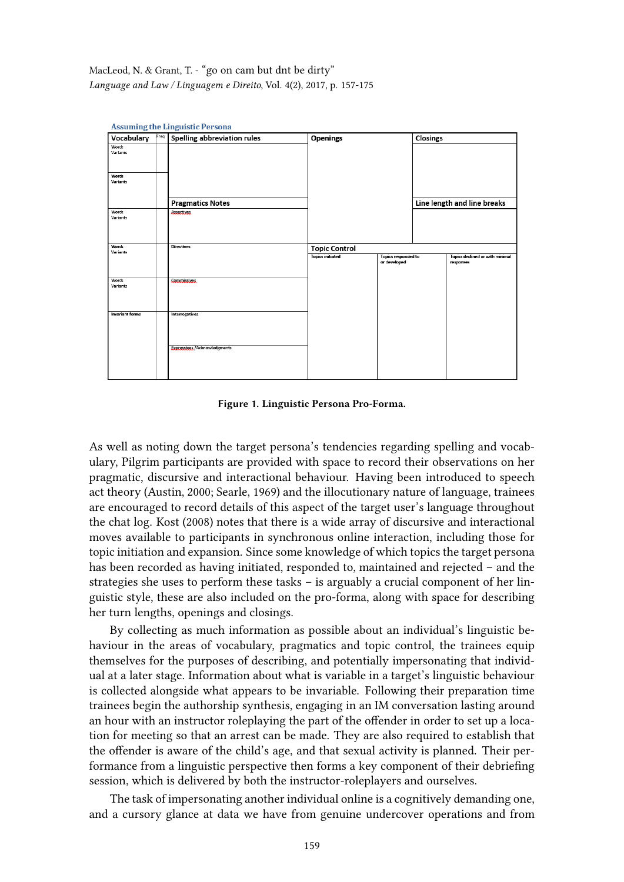| Vocabulary               | Freq | <b>Spelling abbreviation rules</b>   | Openings                |                                            |  | Closings                                            |  |
|--------------------------|------|--------------------------------------|-------------------------|--------------------------------------------|--|-----------------------------------------------------|--|
| Word:<br><b>Variants</b> |      |                                      |                         |                                            |  |                                                     |  |
|                          |      |                                      |                         |                                            |  |                                                     |  |
| Word:<br><b>Variants</b> |      |                                      |                         |                                            |  |                                                     |  |
|                          |      | <b>Pragmatics Notes</b>              |                         |                                            |  | Line length and line breaks                         |  |
| Word:<br>Variants        |      | <b>Assertives</b>                    |                         |                                            |  |                                                     |  |
| Word:<br><b>Variants</b> |      | <b>Directives</b>                    | <b>Topic Control</b>    |                                            |  |                                                     |  |
|                          |      |                                      | <b>Topics initiated</b> | <b>Topics responded to</b><br>or developed |  | <b>Topics declined or with minimal</b><br>responses |  |
| Word:<br>Variants        |      | <b>Commissives</b>                   |                         |                                            |  |                                                     |  |
| <b>Invariant forms</b>   |      | <b>Interrogatives</b>                |                         |                                            |  |                                                     |  |
|                          |      | <b>Expressives / Acknowledgments</b> |                         |                                            |  |                                                     |  |

Figure 1. Linguistic Persona Pro-Forma.

As well as noting down the target persona's tendencies regarding spelling and vocabulary, Pilgrim participants are provided with space to record their observations on her pragmatic, discursive and interactional behaviour. Having been introduced to speech act theory (Austin, 2000; Searle, 1969) and the illocutionary nature of language, trainees are encouraged to record details of this aspect of the target user's language throughout the chat log. Kost (2008) notes that there is a wide array of discursive and interactional moves available to participants in synchronous online interaction, including those for topic initiation and expansion. Since some knowledge of which topics the target persona has been recorded as having initiated, responded to, maintained and rejected – and the strategies she uses to perform these tasks – is arguably a crucial component of her linguistic style, these are also included on the pro-forma, along with space for describing her turn lengths, openings and closings.

By collecting as much information as possible about an individual's linguistic behaviour in the areas of vocabulary, pragmatics and topic control, the trainees equip themselves for the purposes of describing, and potentially impersonating that individual at a later stage. Information about what is variable in a target's linguistic behaviour is collected alongside what appears to be invariable. Following their preparation time trainees begin the authorship synthesis, engaging in an IM conversation lasting around an hour with an instructor roleplaying the part of the offender in order to set up a location for meeting so that an arrest can be made. They are also required to establish that the offender is aware of the child's age, and that sexual activity is planned. Their performance from a linguistic perspective then forms a key component of their debriefing session, which is delivered by both the instructor-roleplayers and ourselves.

The task of impersonating another individual online is a cognitively demanding one, and a cursory glance at data we have from genuine undercover operations and from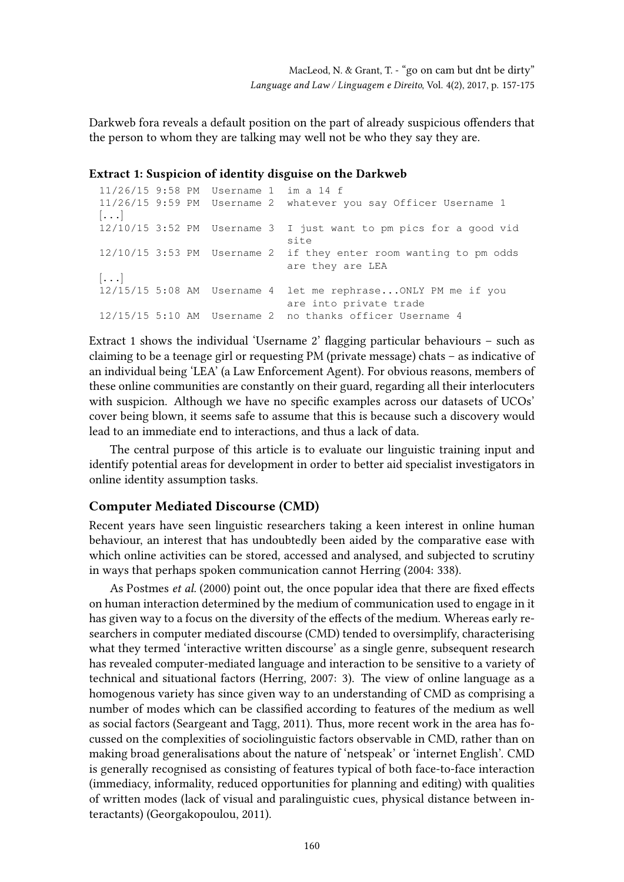Darkweb fora reveals a default position on the part of already suspicious offenders that the person to whom they are talking may well not be who they say they are.

### Extract 1: Suspicion of identity disguise on the Darkweb

```
11/26/15 9:58 PM Username 1 im a 14 f
11/26/15 9:59 PM Username 2 whatever you say Officer Username 1
\left[ \ldots \right]12/10/15 3:52 PM Username 3 I just want to pm pics for a good vid
                               site
12/10/15 3:53 PM Username 2 if they enter room wanting to pm odds
                              are they are LEA
\left[\ldots\right]12/15/15 5:08 AM Username 4 let me rephrase...ONLY PM me if you
                              are into private trade
12/15/15 5:10 AM Username 2 no thanks officer Username 4
```
Extract 1 shows the individual 'Username 2' flagging particular behaviours – such as claiming to be a teenage girl or requesting PM (private message) chats – as indicative of an individual being 'LEA' (a Law Enforcement Agent). For obvious reasons, members of these online communities are constantly on their guard, regarding all their interlocuters with suspicion. Although we have no specific examples across our datasets of UCOs' cover being blown, it seems safe to assume that this is because such a discovery would lead to an immediate end to interactions, and thus a lack of data.

The central purpose of this article is to evaluate our linguistic training input and identify potential areas for development in order to better aid specialist investigators in online identity assumption tasks.

### Computer Mediated Discourse (CMD)

Recent years have seen linguistic researchers taking a keen interest in online human behaviour, an interest that has undoubtedly been aided by the comparative ease with which online activities can be stored, accessed and analysed, and subjected to scrutiny in ways that perhaps spoken communication cannot Herring (2004: 338).

As Postmes et al. (2000) point out, the once popular idea that there are fixed effects on human interaction determined by the medium of communication used to engage in it has given way to a focus on the diversity of the effects of the medium. Whereas early researchers in computer mediated discourse (CMD) tended to oversimplify, characterising what they termed 'interactive written discourse' as a single genre, subsequent research has revealed computer-mediated language and interaction to be sensitive to a variety of technical and situational factors (Herring, 2007: 3). The view of online language as a homogenous variety has since given way to an understanding of CMD as comprising a number of modes which can be classified according to features of the medium as well as social factors (Seargeant and Tagg, 2011). Thus, more recent work in the area has focussed on the complexities of sociolinguistic factors observable in CMD, rather than on making broad generalisations about the nature of 'netspeak' or 'internet English'. CMD is generally recognised as consisting of features typical of both face-to-face interaction (immediacy, informality, reduced opportunities for planning and editing) with qualities of written modes (lack of visual and paralinguistic cues, physical distance between interactants) (Georgakopoulou, 2011).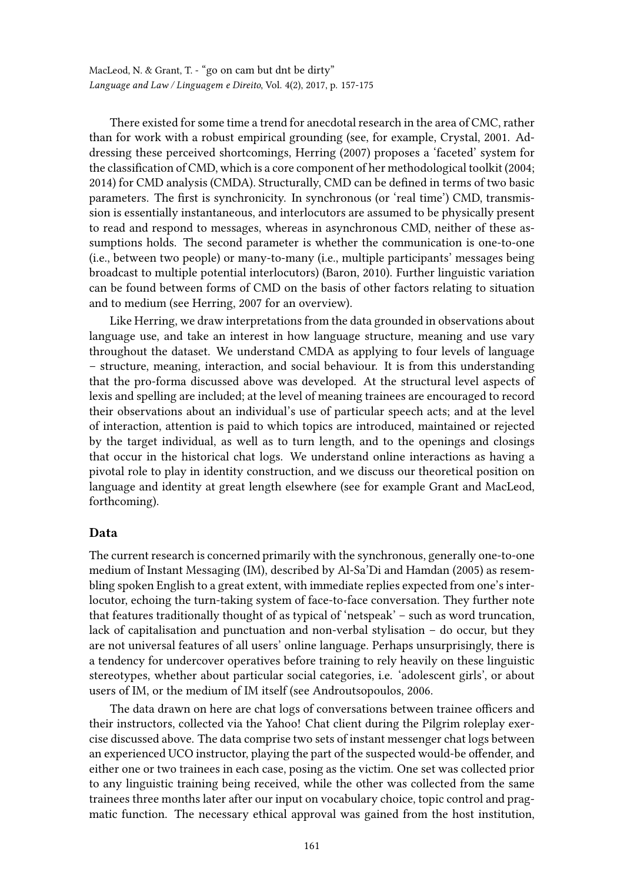There existed for some time a trend for anecdotal research in the area of CMC, rather than for work with a robust empirical grounding (see, for example, Crystal, 2001. Addressing these perceived shortcomings, Herring (2007) proposes a 'faceted' system for the classification of CMD, which is a core component of her methodological toolkit (2004; 2014) for CMD analysis (CMDA). Structurally, CMD can be defined in terms of two basic parameters. The first is synchronicity. In synchronous (or 'real time') CMD, transmission is essentially instantaneous, and interlocutors are assumed to be physically present to read and respond to messages, whereas in asynchronous CMD, neither of these assumptions holds. The second parameter is whether the communication is one-to-one (i.e., between two people) or many-to-many (i.e., multiple participants' messages being broadcast to multiple potential interlocutors) (Baron, 2010). Further linguistic variation can be found between forms of CMD on the basis of other factors relating to situation and to medium (see Herring, 2007 for an overview).

Like Herring, we draw interpretations from the data grounded in observations about language use, and take an interest in how language structure, meaning and use vary throughout the dataset. We understand CMDA as applying to four levels of language – structure, meaning, interaction, and social behaviour. It is from this understanding that the pro-forma discussed above was developed. At the structural level aspects of lexis and spelling are included; at the level of meaning trainees are encouraged to record their observations about an individual's use of particular speech acts; and at the level of interaction, attention is paid to which topics are introduced, maintained or rejected by the target individual, as well as to turn length, and to the openings and closings that occur in the historical chat logs. We understand online interactions as having a pivotal role to play in identity construction, and we discuss our theoretical position on language and identity at great length elsewhere (see for example Grant and MacLeod, forthcoming).

### Data

The current research is concerned primarily with the synchronous, generally one-to-one medium of Instant Messaging (IM), described by Al-Sa'Di and Hamdan (2005) as resembling spoken English to a great extent, with immediate replies expected from one's interlocutor, echoing the turn-taking system of face-to-face conversation. They further note that features traditionally thought of as typical of 'netspeak' – such as word truncation, lack of capitalisation and punctuation and non-verbal stylisation – do occur, but they are not universal features of all users' online language. Perhaps unsurprisingly, there is a tendency for undercover operatives before training to rely heavily on these linguistic stereotypes, whether about particular social categories, i.e. 'adolescent girls', or about users of IM, or the medium of IM itself (see Androutsopoulos, 2006.

The data drawn on here are chat logs of conversations between trainee officers and their instructors, collected via the Yahoo! Chat client during the Pilgrim roleplay exercise discussed above. The data comprise two sets of instant messenger chat logs between an experienced UCO instructor, playing the part of the suspected would-be offender, and either one or two trainees in each case, posing as the victim. One set was collected prior to any linguistic training being received, while the other was collected from the same trainees three months later after our input on vocabulary choice, topic control and pragmatic function. The necessary ethical approval was gained from the host institution,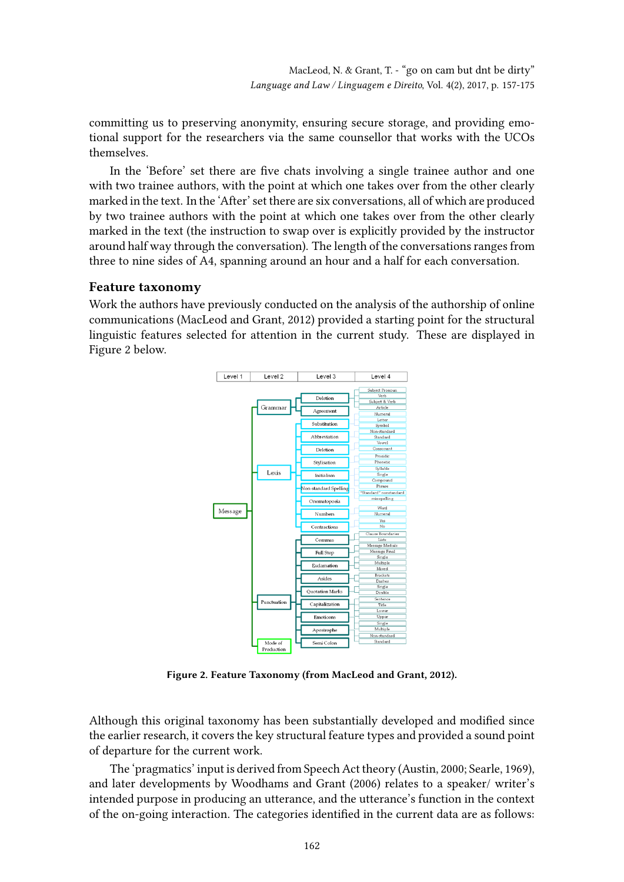committing us to preserving anonymity, ensuring secure storage, and providing emotional support for the researchers via the same counsellor that works with the UCOs themselves.

In the 'Before' set there are five chats involving a single trainee author and one with two trainee authors, with the point at which one takes over from the other clearly marked in the text. In the 'After' set there are six conversations, all of which are produced by two trainee authors with the point at which one takes over from the other clearly marked in the text (the instruction to swap over is explicitly provided by the instructor around half way through the conversation). The length of the conversations ranges from three to nine sides of A4, spanning around an hour and a half for each conversation.

## Feature taxonomy

Work the authors have previously conducted on the analysis of the authorship of online communications (MacLeod and Grant, 2012) provided a starting point for the structural linguistic features selected for attention in the current study. These are displayed in Figure 2 below.



Figure 2. Feature Taxonomy (from MacLeod and Grant, 2012).

Although this original taxonomy has been substantially developed and modified since the earlier research, it covers the key structural feature types and provided a sound point of departure for the current work.

The 'pragmatics' input is derived from Speech Act theory (Austin, 2000; Searle, 1969), and later developments by Woodhams and Grant (2006) relates to a speaker/ writer's intended purpose in producing an utterance, and the utterance's function in the context of the on-going interaction. The categories identified in the current data are as follows: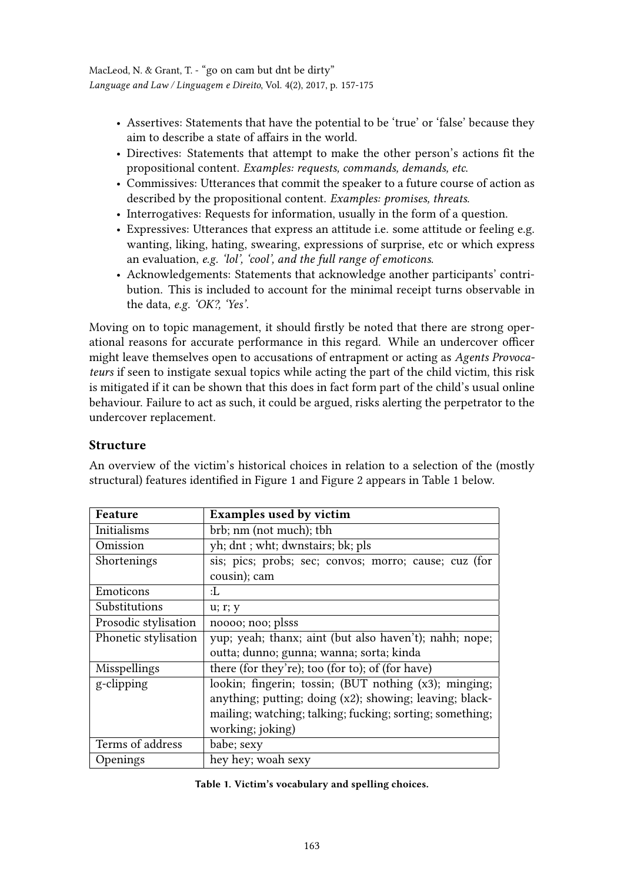- Assertives: Statements that have the potential to be 'true' or 'false' because they aim to describe a state of affairs in the world.
- Directives: Statements that attempt to make the other person's actions fit the propositional content. Examples: requests, commands, demands, etc.
- Commissives: Utterances that commit the speaker to a future course of action as described by the propositional content. Examples: promises, threats.
- Interrogatives: Requests for information, usually in the form of a question.
- Expressives: Utterances that express an attitude i.e. some attitude or feeling e.g. wanting, liking, hating, swearing, expressions of surprise, etc or which express an evaluation, e.g. 'lol', 'cool', and the full range of emoticons.
- Acknowledgements: Statements that acknowledge another participants' contribution. This is included to account for the minimal receipt turns observable in the data, e.g. 'OK?, 'Yes'.

Moving on to topic management, it should firstly be noted that there are strong operational reasons for accurate performance in this regard. While an undercover officer might leave themselves open to accusations of entrapment or acting as Agents Provocateurs if seen to instigate sexual topics while acting the part of the child victim, this risk is mitigated if it can be shown that this does in fact form part of the child's usual online behaviour. Failure to act as such, it could be argued, risks alerting the perpetrator to the undercover replacement.

# Structure

An overview of the victim's historical choices in relation to a selection of the (mostly structural) features identified in Figure 1 and Figure 2 appears in Table 1 below.

| Feature              | <b>Examples used by victim</b>                           |  |  |
|----------------------|----------------------------------------------------------|--|--|
| Initialisms          | brb; nm (not much); tbh                                  |  |  |
| Omission             | yh; dnt ; wht; dwnstairs; bk; pls                        |  |  |
| Shortenings          | sis; pics; probs; sec; convos; morro; cause; cuz (for    |  |  |
|                      | cousin); cam                                             |  |  |
| Emoticons            | :L                                                       |  |  |
| Substitutions        | u; r; y                                                  |  |  |
| Prosodic stylisation | noooo; noo; plsss                                        |  |  |
| Phonetic stylisation | yup; yeah; thanx; aint (but also haven't); nahh; nope;   |  |  |
|                      | outta; dunno; gunna; wanna; sorta; kinda                 |  |  |
| Misspellings         | there (for they're); too (for to); of (for have)         |  |  |
| g-clipping           | lookin; fingerin; tossin; (BUT nothing (x3); minging;    |  |  |
|                      | anything; putting; doing (x2); showing; leaving; black-  |  |  |
|                      | mailing; watching; talking; fucking; sorting; something; |  |  |
|                      | working; joking)                                         |  |  |
| Terms of address     | babe; sexy                                               |  |  |
| Openings             | hey hey; woah sexy                                       |  |  |

Table 1. Victim's vocabulary and spelling choices.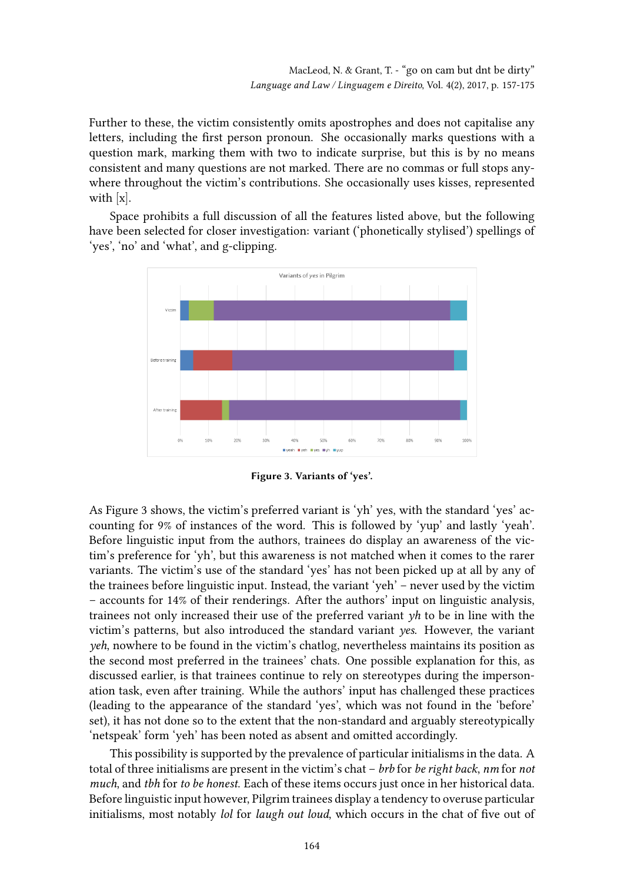Further to these, the victim consistently omits apostrophes and does not capitalise any letters, including the first person pronoun. She occasionally marks questions with a question mark, marking them with two to indicate surprise, but this is by no means consistent and many questions are not marked. There are no commas or full stops anywhere throughout the victim's contributions. She occasionally uses kisses, represented with [x].

Space prohibits a full discussion of all the features listed above, but the following have been selected for closer investigation: variant ('phonetically stylised') spellings of 'yes', 'no' and 'what', and g-clipping.



Figure 3. Variants of 'yes'.

As Figure 3 shows, the victim's preferred variant is 'yh' yes, with the standard 'yes' accounting for 9% of instances of the word. This is followed by 'yup' and lastly 'yeah'. Before linguistic input from the authors, trainees do display an awareness of the victim's preference for 'yh', but this awareness is not matched when it comes to the rarer variants. The victim's use of the standard 'yes' has not been picked up at all by any of the trainees before linguistic input. Instead, the variant 'yeh' – never used by the victim – accounts for 14% of their renderings. After the authors' input on linguistic analysis, trainees not only increased their use of the preferred variant yh to be in line with the victim's patterns, but also introduced the standard variant yes. However, the variant yeh, nowhere to be found in the victim's chatlog, nevertheless maintains its position as the second most preferred in the trainees' chats. One possible explanation for this, as discussed earlier, is that trainees continue to rely on stereotypes during the impersonation task, even after training. While the authors' input has challenged these practices (leading to the appearance of the standard 'yes', which was not found in the 'before' set), it has not done so to the extent that the non-standard and arguably stereotypically 'netspeak' form 'yeh' has been noted as absent and omitted accordingly.

This possibility is supported by the prevalence of particular initialisms in the data. A total of three initialisms are present in the victim's chat – brb for be right back, nm for not much, and tbh for to be honest. Each of these items occurs just once in her historical data. Before linguistic input however, Pilgrim trainees display a tendency to overuse particular initialisms, most notably lol for laugh out loud, which occurs in the chat of five out of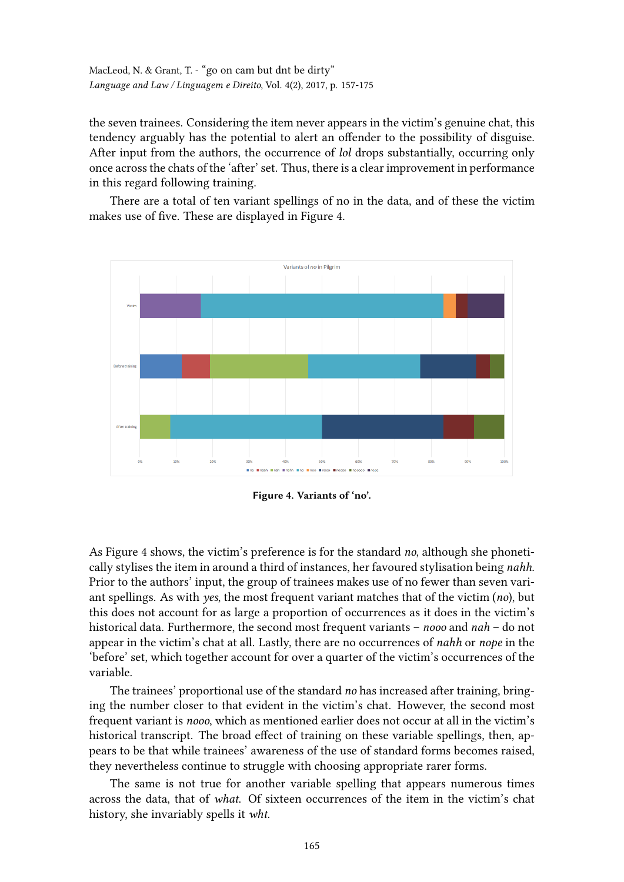the seven trainees. Considering the item never appears in the victim's genuine chat, this tendency arguably has the potential to alert an offender to the possibility of disguise. After input from the authors, the occurrence of *lol* drops substantially, occurring only once across the chats of the 'after' set. Thus, there is a clear improvement in performance in this regard following training.

There are a total of ten variant spellings of no in the data, and of these the victim makes use of five. These are displayed in Figure 4.



Figure 4. Variants of 'no'.

As Figure 4 shows, the victim's preference is for the standard no, although she phonetically stylises the item in around a third of instances, her favoured stylisation being nahh. Prior to the authors' input, the group of trainees makes use of no fewer than seven variant spellings. As with yes, the most frequent variant matches that of the victim  $(no)$ , but this does not account for as large a proportion of occurrences as it does in the victim's historical data. Furthermore, the second most frequent variants – nooo and nah – do not appear in the victim's chat at all. Lastly, there are no occurrences of nahh or nope in the 'before' set, which together account for over a quarter of the victim's occurrences of the variable.

The trainees' proportional use of the standard no has increased after training, bringing the number closer to that evident in the victim's chat. However, the second most frequent variant is nooo, which as mentioned earlier does not occur at all in the victim's historical transcript. The broad effect of training on these variable spellings, then, appears to be that while trainees' awareness of the use of standard forms becomes raised, they nevertheless continue to struggle with choosing appropriate rarer forms.

The same is not true for another variable spelling that appears numerous times across the data, that of what. Of sixteen occurrences of the item in the victim's chat history, she invariably spells it wht.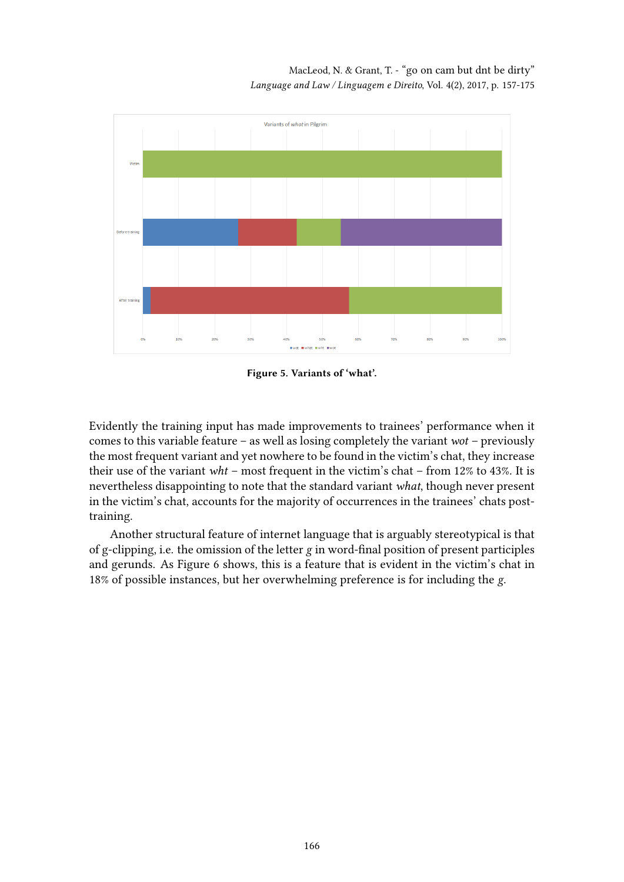

Figure 5. Variants of 'what'.

Evidently the training input has made improvements to trainees' performance when it comes to this variable feature – as well as losing completely the variant  $wot$  – previously the most frequent variant and yet nowhere to be found in the victim's chat, they increase their use of the variant  $wht$  – most frequent in the victim's chat – from 12% to 43%. It is nevertheless disappointing to note that the standard variant what, though never present in the victim's chat, accounts for the majority of occurrences in the trainees' chats posttraining.

Another structural feature of internet language that is arguably stereotypical is that of g-clipping, i.e. the omission of the letter  $g$  in word-final position of present participles and gerunds. As Figure 6 shows, this is a feature that is evident in the victim's chat in 18% of possible instances, but her overwhelming preference is for including the g.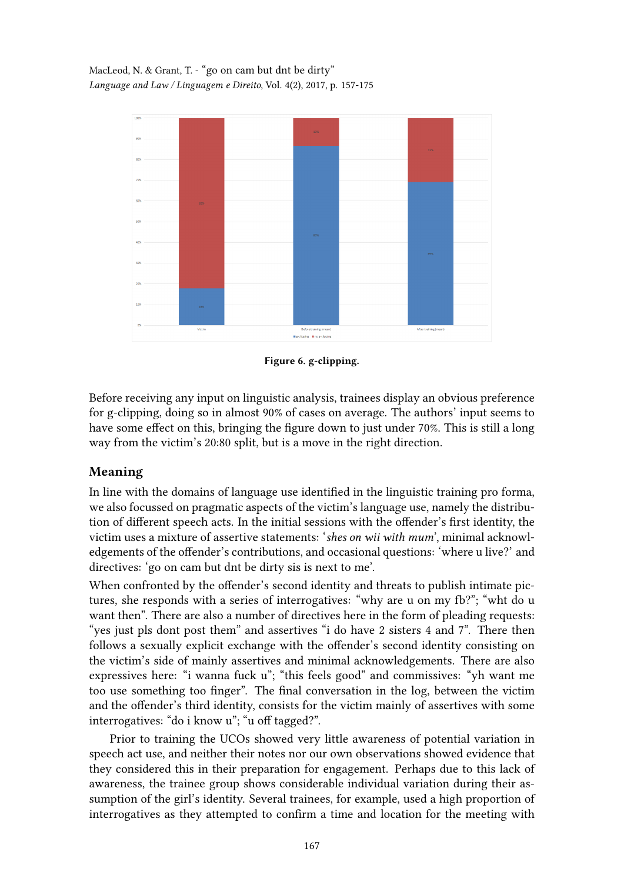

Figure 6. g-clipping.

Before receiving any input on linguistic analysis, trainees display an obvious preference for g-clipping, doing so in almost 90% of cases on average. The authors' input seems to have some effect on this, bringing the figure down to just under 70%. This is still a long way from the victim's 20:80 split, but is a move in the right direction.

# Meaning

In line with the domains of language use identified in the linguistic training pro forma, we also focussed on pragmatic aspects of the victim's language use, namely the distribution of different speech acts. In the initial sessions with the offender's first identity, the victim uses a mixture of assertive statements: 'shes on wii with mum', minimal acknowledgements of the offender's contributions, and occasional questions: 'where u live?' and directives: 'go on cam but dnt be dirty sis is next to me'.

When confronted by the offender's second identity and threats to publish intimate pictures, she responds with a series of interrogatives: "why are u on my fb?"; "wht do u want then". There are also a number of directives here in the form of pleading requests: "yes just pls dont post them" and assertives "i do have 2 sisters 4 and 7". There then follows a sexually explicit exchange with the offender's second identity consisting on the victim's side of mainly assertives and minimal acknowledgements. There are also expressives here: "i wanna fuck u"; "this feels good" and commissives: "yh want me too use something too finger". The final conversation in the log, between the victim and the offender's third identity, consists for the victim mainly of assertives with some interrogatives: "do i know u"; "u off tagged?".

Prior to training the UCOs showed very little awareness of potential variation in speech act use, and neither their notes nor our own observations showed evidence that they considered this in their preparation for engagement. Perhaps due to this lack of awareness, the trainee group shows considerable individual variation during their assumption of the girl's identity. Several trainees, for example, used a high proportion of interrogatives as they attempted to confirm a time and location for the meeting with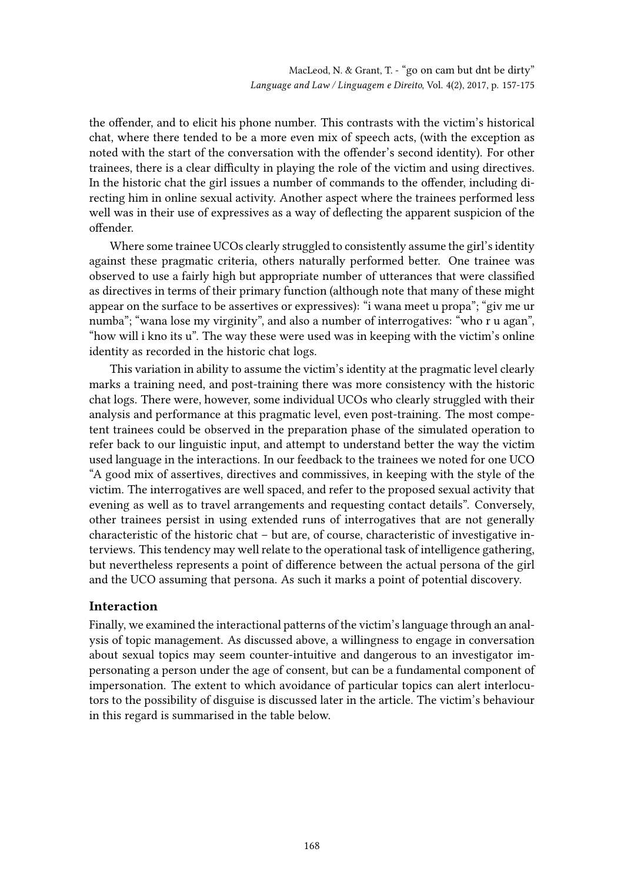the offender, and to elicit his phone number. This contrasts with the victim's historical chat, where there tended to be a more even mix of speech acts, (with the exception as noted with the start of the conversation with the offender's second identity). For other trainees, there is a clear difficulty in playing the role of the victim and using directives. In the historic chat the girl issues a number of commands to the offender, including directing him in online sexual activity. Another aspect where the trainees performed less well was in their use of expressives as a way of deflecting the apparent suspicion of the offender.

Where some trainee UCOs clearly struggled to consistently assume the girl's identity against these pragmatic criteria, others naturally performed better. One trainee was observed to use a fairly high but appropriate number of utterances that were classified as directives in terms of their primary function (although note that many of these might appear on the surface to be assertives or expressives): "i wana meet u propa"; "giv me ur numba"; "wana lose my virginity", and also a number of interrogatives: "who r u agan", "how will i kno its u". The way these were used was in keeping with the victim's online identity as recorded in the historic chat logs.

This variation in ability to assume the victim's identity at the pragmatic level clearly marks a training need, and post-training there was more consistency with the historic chat logs. There were, however, some individual UCOs who clearly struggled with their analysis and performance at this pragmatic level, even post-training. The most competent trainees could be observed in the preparation phase of the simulated operation to refer back to our linguistic input, and attempt to understand better the way the victim used language in the interactions. In our feedback to the trainees we noted for one UCO "A good mix of assertives, directives and commissives, in keeping with the style of the victim. The interrogatives are well spaced, and refer to the proposed sexual activity that evening as well as to travel arrangements and requesting contact details". Conversely, other trainees persist in using extended runs of interrogatives that are not generally characteristic of the historic chat – but are, of course, characteristic of investigative interviews. This tendency may well relate to the operational task of intelligence gathering, but nevertheless represents a point of difference between the actual persona of the girl and the UCO assuming that persona. As such it marks a point of potential discovery.

# Interaction

Finally, we examined the interactional patterns of the victim's language through an analysis of topic management. As discussed above, a willingness to engage in conversation about sexual topics may seem counter-intuitive and dangerous to an investigator impersonating a person under the age of consent, but can be a fundamental component of impersonation. The extent to which avoidance of particular topics can alert interlocutors to the possibility of disguise is discussed later in the article. The victim's behaviour in this regard is summarised in the table below.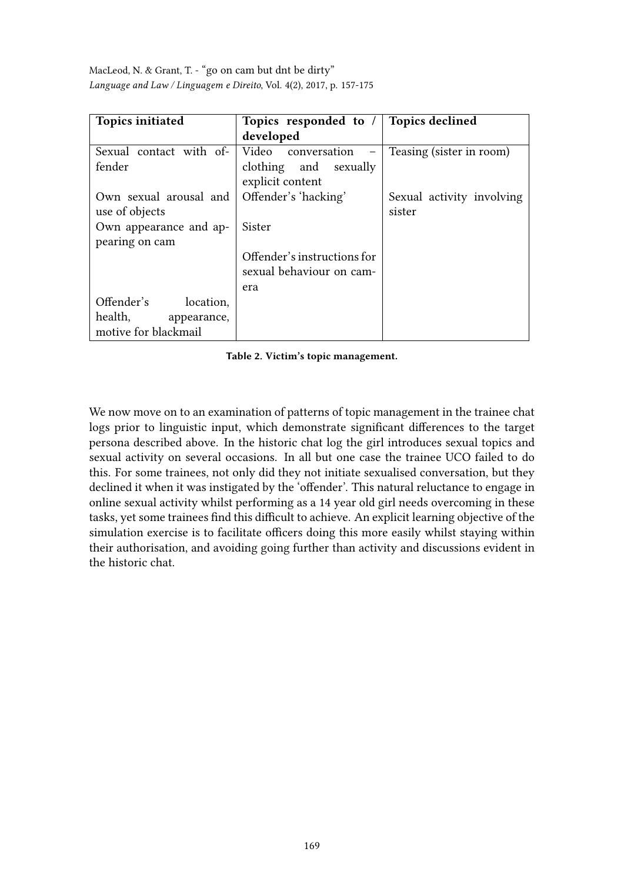| <b>Topics initiated</b> | Topics responded to /                   | <b>Topics declined</b>    |
|-------------------------|-----------------------------------------|---------------------------|
|                         | developed                               |                           |
| Sexual contact with of- | Video conversation<br>$\qquad \qquad -$ | Teasing (sister in room)  |
| fender                  | clothing and sexually                   |                           |
|                         | explicit content                        |                           |
| Own sexual arousal and  | Offender's 'hacking'                    | Sexual activity involving |
| use of objects          |                                         | sister                    |
| Own appearance and ap-  | Sister                                  |                           |
| pearing on cam          |                                         |                           |
|                         | Offender's instructions for             |                           |
|                         | sexual behaviour on cam-                |                           |
|                         | era                                     |                           |
| Offender's<br>location, |                                         |                           |
| health,<br>appearance,  |                                         |                           |
| motive for blackmail    |                                         |                           |

Table 2. Victim's topic management.

We now move on to an examination of patterns of topic management in the trainee chat logs prior to linguistic input, which demonstrate significant differences to the target persona described above. In the historic chat log the girl introduces sexual topics and sexual activity on several occasions. In all but one case the trainee UCO failed to do this. For some trainees, not only did they not initiate sexualised conversation, but they declined it when it was instigated by the 'offender'. This natural reluctance to engage in online sexual activity whilst performing as a 14 year old girl needs overcoming in these tasks, yet some trainees find this difficult to achieve. An explicit learning objective of the simulation exercise is to facilitate officers doing this more easily whilst staying within their authorisation, and avoiding going further than activity and discussions evident in the historic chat.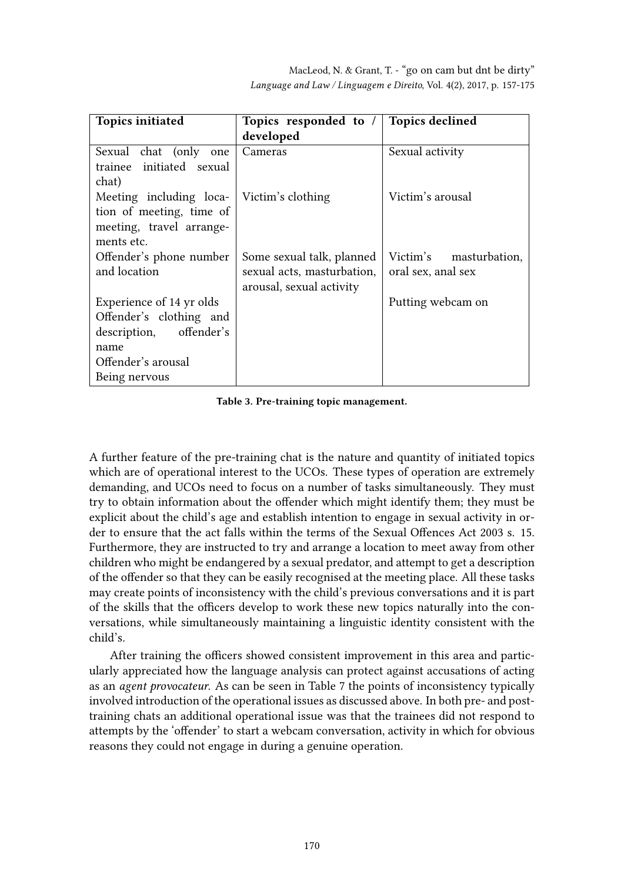| <b>Topics initiated</b>  | Topics responded to /      | <b>Topics declined</b> |
|--------------------------|----------------------------|------------------------|
|                          | developed                  |                        |
| Sexual chat (only one    | Cameras                    | Sexual activity        |
| trainee initiated sexual |                            |                        |
| chat)                    |                            |                        |
| Meeting including loca-  | Victim's clothing          | Victim's arousal       |
| tion of meeting, time of |                            |                        |
| meeting, travel arrange- |                            |                        |
| ments etc.               |                            |                        |
| Offender's phone number  | Some sexual talk, planned  | Victim's masturbation, |
| and location             | sexual acts, masturbation, | oral sex, anal sex     |
|                          | arousal, sexual activity   |                        |
| Experience of 14 yr olds |                            | Putting webcam on      |
| Offender's clothing and  |                            |                        |
| description, offender's  |                            |                        |
| name                     |                            |                        |
| Offender's arousal       |                            |                        |
| Being nervous            |                            |                        |

Table 3. Pre-training topic management.

A further feature of the pre-training chat is the nature and quantity of initiated topics which are of operational interest to the UCOs. These types of operation are extremely demanding, and UCOs need to focus on a number of tasks simultaneously. They must try to obtain information about the offender which might identify them; they must be explicit about the child's age and establish intention to engage in sexual activity in order to ensure that the act falls within the terms of the Sexual Offences Act 2003 s. 15. Furthermore, they are instructed to try and arrange a location to meet away from other children who might be endangered by a sexual predator, and attempt to get a description of the offender so that they can be easily recognised at the meeting place. All these tasks may create points of inconsistency with the child's previous conversations and it is part of the skills that the officers develop to work these new topics naturally into the conversations, while simultaneously maintaining a linguistic identity consistent with the child's.

After training the officers showed consistent improvement in this area and particularly appreciated how the language analysis can protect against accusations of acting as an agent provocateur. As can be seen in Table 7 the points of inconsistency typically involved introduction of the operational issues as discussed above. In both pre- and posttraining chats an additional operational issue was that the trainees did not respond to attempts by the 'offender' to start a webcam conversation, activity in which for obvious reasons they could not engage in during a genuine operation.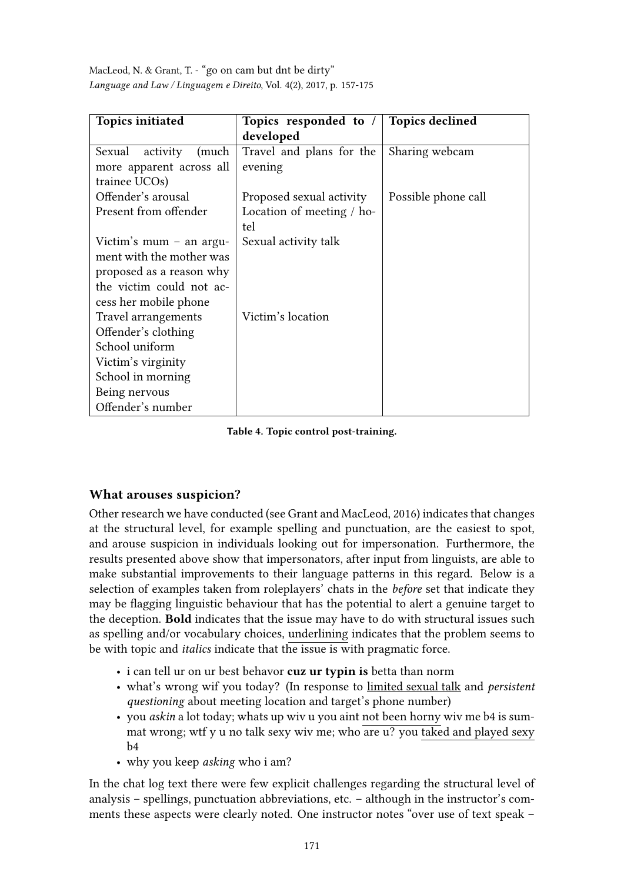| <b>Topics initiated</b>     | Topics responded to /     | <b>Topics declined</b> |
|-----------------------------|---------------------------|------------------------|
|                             | developed                 |                        |
| Sexual<br>activity<br>(much | Travel and plans for the  | Sharing webcam         |
| more apparent across all    | evening                   |                        |
| trainee UCOs)               |                           |                        |
| Offender's arousal          | Proposed sexual activity  | Possible phone call    |
| Present from offender       | Location of meeting / ho- |                        |
|                             | tel                       |                        |
| Victim's mum $-$ an argu-   | Sexual activity talk      |                        |
| ment with the mother was    |                           |                        |
| proposed as a reason why    |                           |                        |
| the victim could not ac-    |                           |                        |
| cess her mobile phone       |                           |                        |
| Travel arrangements         | Victim's location         |                        |
| Offender's clothing         |                           |                        |
| School uniform              |                           |                        |
| Victim's virginity          |                           |                        |
| School in morning           |                           |                        |
| Being nervous               |                           |                        |
| Offender's number           |                           |                        |

Table 4. Topic control post-training.

# What arouses suspicion?

Other research we have conducted (see Grant and MacLeod, 2016) indicates that changes at the structural level, for example spelling and punctuation, are the easiest to spot, and arouse suspicion in individuals looking out for impersonation. Furthermore, the results presented above show that impersonators, after input from linguists, are able to make substantial improvements to their language patterns in this regard. Below is a selection of examples taken from roleplayers' chats in the before set that indicate they may be flagging linguistic behaviour that has the potential to alert a genuine target to the deception. Bold indicates that the issue may have to do with structural issues such as spelling and/or vocabulary choices, underlining indicates that the problem seems to be with topic and *italics* indicate that the issue is with pragmatic force.

- i can tell ur on ur best behavor cuz ur typin is betta than norm
- what's wrong wif you today? (In response to limited sexual talk and persistent questioning about meeting location and target's phone number)
- you askin a lot today; whats up wiv u you aint not been horny wiv me b4 is summat wrong; wtf y u no talk sexy wiv me; who are u? you taked and played sexy b4
- why you keep *asking* who i am?

In the chat log text there were few explicit challenges regarding the structural level of analysis – spellings, punctuation abbreviations, etc. – although in the instructor's comments these aspects were clearly noted. One instructor notes "over use of text speak –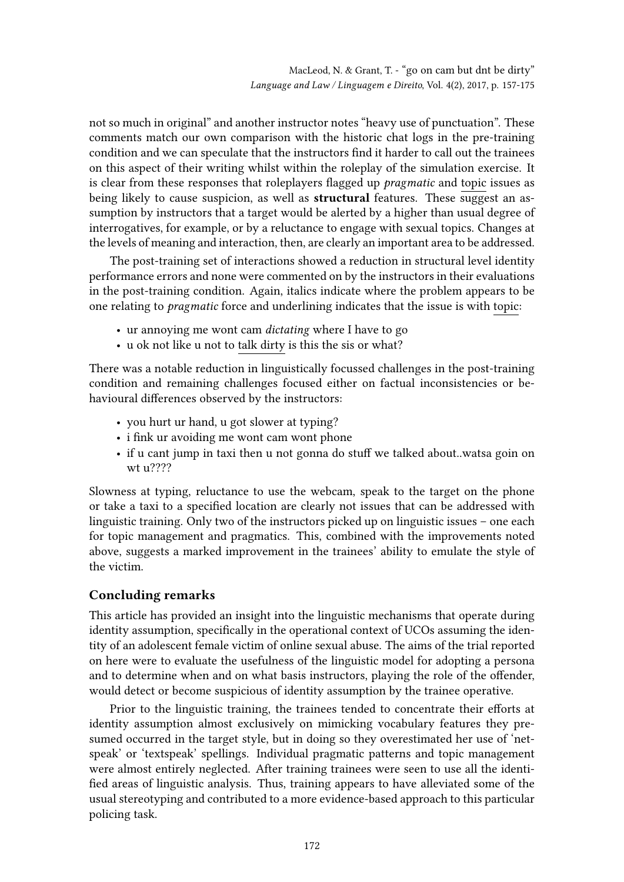not so much in original" and another instructor notes "heavy use of punctuation". These comments match our own comparison with the historic chat logs in the pre-training condition and we can speculate that the instructors find it harder to call out the trainees on this aspect of their writing whilst within the roleplay of the simulation exercise. It is clear from these responses that roleplayers flagged up *pragmatic* and topic issues as being likely to cause suspicion, as well as **structural** features. These suggest an assumption by instructors that a target would be alerted by a higher than usual degree of interrogatives, for example, or by a reluctance to engage with sexual topics. Changes at the levels of meaning and interaction, then, are clearly an important area to be addressed.

The post-training set of interactions showed a reduction in structural level identity performance errors and none were commented on by the instructors in their evaluations in the post-training condition. Again, italics indicate where the problem appears to be one relating to pragmatic force and underlining indicates that the issue is with topic:

- ur annoying me wont cam dictating where I have to go
- u ok not like u not to talk dirty is this the sis or what?

There was a notable reduction in linguistically focussed challenges in the post-training condition and remaining challenges focused either on factual inconsistencies or behavioural differences observed by the instructors:

- you hurt ur hand, u got slower at typing?
- i fink ur avoiding me wont cam wont phone
- if u cant jump in taxi then u not gonna do stuff we talked about..watsa goin on wt u????

Slowness at typing, reluctance to use the webcam, speak to the target on the phone or take a taxi to a specified location are clearly not issues that can be addressed with linguistic training. Only two of the instructors picked up on linguistic issues – one each for topic management and pragmatics. This, combined with the improvements noted above, suggests a marked improvement in the trainees' ability to emulate the style of the victim.

## Concluding remarks

This article has provided an insight into the linguistic mechanisms that operate during identity assumption, specifically in the operational context of UCOs assuming the identity of an adolescent female victim of online sexual abuse. The aims of the trial reported on here were to evaluate the usefulness of the linguistic model for adopting a persona and to determine when and on what basis instructors, playing the role of the offender, would detect or become suspicious of identity assumption by the trainee operative.

Prior to the linguistic training, the trainees tended to concentrate their efforts at identity assumption almost exclusively on mimicking vocabulary features they presumed occurred in the target style, but in doing so they overestimated her use of 'netspeak' or 'textspeak' spellings. Individual pragmatic patterns and topic management were almost entirely neglected. After training trainees were seen to use all the identi fied areas of linguistic analysis. Thus, training appears to have alleviated some of the usual stereotyping and contributed to a more evidence-based approach to this particular policing task.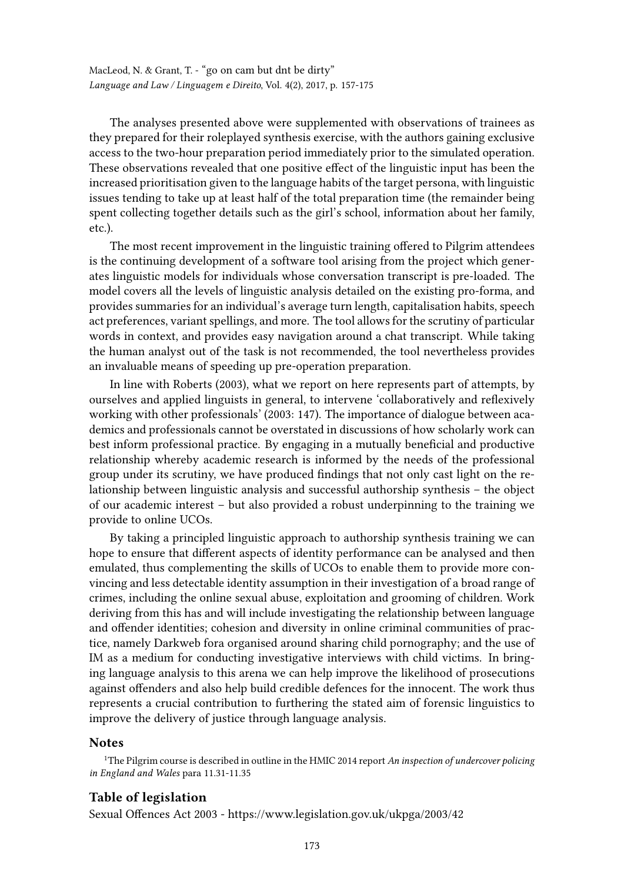The analyses presented above were supplemented with observations of trainees as they prepared for their roleplayed synthesis exercise, with the authors gaining exclusive access to the two-hour preparation period immediately prior to the simulated operation. These observations revealed that one positive effect of the linguistic input has been the increased prioritisation given to the language habits of the target persona, with linguistic issues tending to take up at least half of the total preparation time (the remainder being spent collecting together details such as the girl's school, information about her family, etc.).

The most recent improvement in the linguistic training offered to Pilgrim attendees is the continuing development of a software tool arising from the project which generates linguistic models for individuals whose conversation transcript is pre-loaded. The model covers all the levels of linguistic analysis detailed on the existing pro-forma, and provides summaries for an individual's average turn length, capitalisation habits, speech act preferences, variant spellings, and more. The tool allows for the scrutiny of particular words in context, and provides easy navigation around a chat transcript. While taking the human analyst out of the task is not recommended, the tool nevertheless provides an invaluable means of speeding up pre-operation preparation.

In line with Roberts (2003), what we report on here represents part of attempts, by ourselves and applied linguists in general, to intervene 'collaboratively and reflexively working with other professionals' (2003: 147). The importance of dialogue between academics and professionals cannot be overstated in discussions of how scholarly work can best inform professional practice. By engaging in a mutually beneficial and productive relationship whereby academic research is informed by the needs of the professional group under its scrutiny, we have produced findings that not only cast light on the relationship between linguistic analysis and successful authorship synthesis – the object of our academic interest – but also provided a robust underpinning to the training we provide to online UCOs.

By taking a principled linguistic approach to authorship synthesis training we can hope to ensure that different aspects of identity performance can be analysed and then emulated, thus complementing the skills of UCOs to enable them to provide more convincing and less detectable identity assumption in their investigation of a broad range of crimes, including the online sexual abuse, exploitation and grooming of children. Work deriving from this has and will include investigating the relationship between language and offender identities; cohesion and diversity in online criminal communities of practice, namely Darkweb fora organised around sharing child pornography; and the use of IM as a medium for conducting investigative interviews with child victims. In bringing language analysis to this arena we can help improve the likelihood of prosecutions against offenders and also help build credible defences for the innocent. The work thus represents a crucial contribution to furthering the stated aim of forensic linguistics to improve the delivery of justice through language analysis.

### **Notes**

<sup>1</sup>The Pilgrim course is described in outline in the HMIC 2014 report An inspection of undercover policing in England and Wales para 11.31-11.35

### Table of legislation

Sexual Offences Act 2003 - https://www.legislation.gov.uk/ukpga/2003/42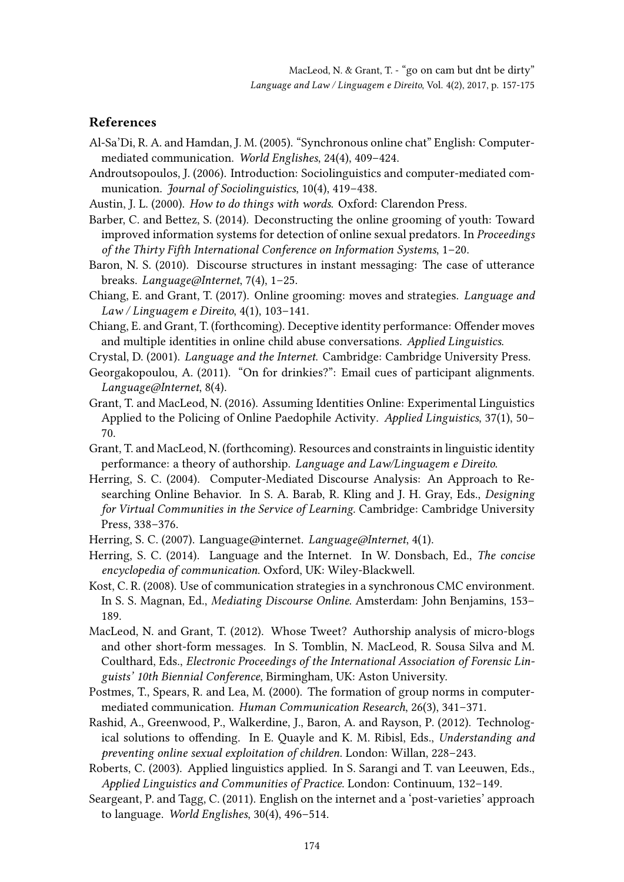### References

- Al-Sa'Di, R. A. and Hamdan, J. M. (2005). "Synchronous online chat" English: Computermediated communication. World Englishes, 24(4), 409–424.
- Androutsopoulos, J. (2006). Introduction: Sociolinguistics and computer-mediated communication. Journal of Sociolinguistics, 10(4), 419-438.
- Austin, J. L. (2000). How to do things with words. Oxford: Clarendon Press.
- Barber, C. and Bettez, S. (2014). Deconstructing the online grooming of youth: Toward improved information systems for detection of online sexual predators. In Proceedings of the Thirty Fifth International Conference on Information Systems, 1–20.
- Baron, N. S. (2010). Discourse structures in instant messaging: The case of utterance breaks. Language@Internet, 7(4), 1–25.
- Chiang, E. and Grant, T. (2017). Online grooming: moves and strategies. Language and Law / Linguagem e Direito,  $4(1)$ , 103-141.
- Chiang, E. and Grant, T. (forthcoming). Deceptive identity performance: Offender moves and multiple identities in online child abuse conversations. Applied Linguistics.
- Crystal, D. (2001). Language and the Internet. Cambridge: Cambridge University Press.
- Georgakopoulou, A. (2011). "On for drinkies?": Email cues of participant alignments. Language@Internet, 8(4).
- Grant, T. and MacLeod, N. (2016). Assuming Identities Online: Experimental Linguistics Applied to the Policing of Online Paedophile Activity. Applied Linguistics, 37(1), 50– 70.
- Grant, T. and MacLeod, N. (forthcoming). Resources and constraints in linguistic identity performance: a theory of authorship. Language and Law/Linguagem e Direito.
- Herring, S. C. (2004). Computer-Mediated Discourse Analysis: An Approach to Researching Online Behavior. In S. A. Barab, R. Kling and J. H. Gray, Eds., Designing for Virtual Communities in the Service of Learning. Cambridge: Cambridge University Press, 338–376.
- Herring, S. C. (2007). Language@internet. Language@Internet, 4(1).
- Herring, S. C. (2014). Language and the Internet. In W. Donsbach, Ed., The concise encyclopedia of communication. Oxford, UK: Wiley-Blackwell.
- Kost, C. R. (2008). Use of communication strategies in a synchronous CMC environment. In S. S. Magnan, Ed., Mediating Discourse Online. Amsterdam: John Benjamins, 153– 189.
- MacLeod, N. and Grant, T. (2012). Whose Tweet? Authorship analysis of micro-blogs and other short-form messages. In S. Tomblin, N. MacLeod, R. Sousa Silva and M. Coulthard, Eds., Electronic Proceedings of the International Association of Forensic Linguists' 10th Biennial Conference, Birmingham, UK: Aston University.
- Postmes, T., Spears, R. and Lea, M. (2000). The formation of group norms in computermediated communication. Human Communication Research, 26(3), 341–371.
- Rashid, A., Greenwood, P., Walkerdine, J., Baron, A. and Rayson, P. (2012). Technological solutions to offending. In E. Quayle and K. M. Ribisl, Eds., Understanding and preventing online sexual exploitation of children. London: Willan, 228–243.
- Roberts, C. (2003). Applied linguistics applied. In S. Sarangi and T. van Leeuwen, Eds., Applied Linguistics and Communities of Practice. London: Continuum, 132–149.
- Seargeant, P. and Tagg, C. (2011). English on the internet and a 'post-varieties' approach to language. World Englishes, 30(4), 496–514.